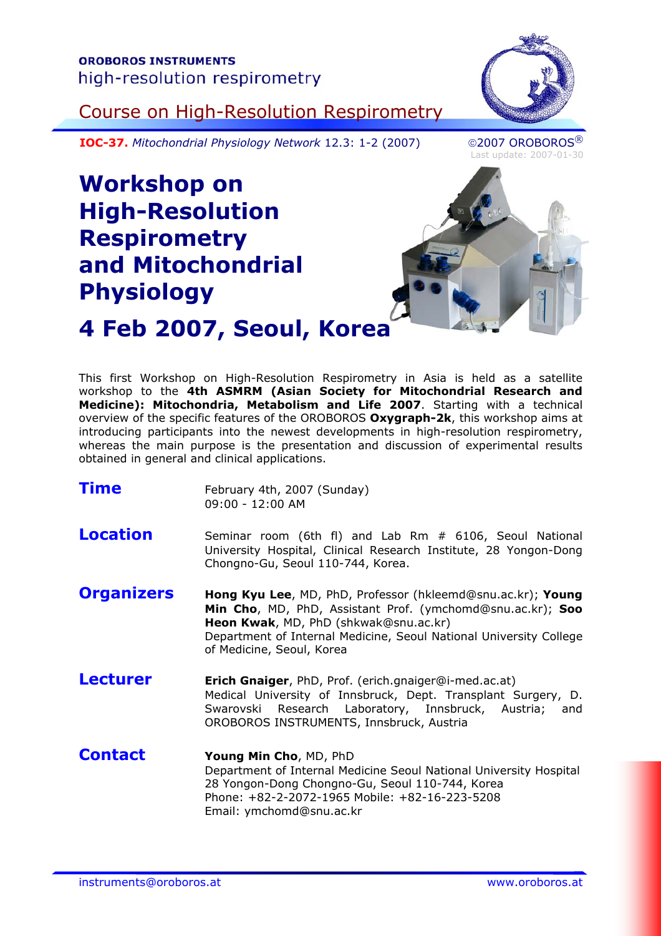

Course on High-Resolution Respirometry

**IOC-37.** Mitochondrial Physiology Network 12.3: 1-2 (2007) 2007 OROBOROS<sup>®</sup>

Last update: 2007-01-30

## **Workshop on High-Resolution Respirometry and Mitochondrial Physiology**



# **4 Feb 2007, Seoul, Korea**

This first Workshop on High-Resolution Respirometry in Asia is held as a satellite workshop to the **4th ASMRM (Asian Society for Mitochondrial Research and Medicine): Mitochondria, Metabolism and Life 2007**. Starting with a technical overview of the specific features of the OROBOROS **Oxygraph-2k**, this workshop aims at introducing participants into the newest developments in high-resolution respirometry, whereas the main purpose is the presentation and discussion of experimental results obtained in general and clinical applications.

| <b>Time</b>       | February 4th, 2007 (Sunday)<br>09:00 - 12:00 AM                                                                                                                                                                                                                       |
|-------------------|-----------------------------------------------------------------------------------------------------------------------------------------------------------------------------------------------------------------------------------------------------------------------|
| <b>Location</b>   | Seminar room (6th fl) and Lab Rm # 6106, Seoul National<br>University Hospital, Clinical Research Institute, 28 Yongon-Dong<br>Chongno-Gu, Seoul 110-744, Korea.                                                                                                      |
| <b>Organizers</b> | Hong Kyu Lee, MD, PhD, Professor (hkleemd@snu.ac.kr); Young<br>Min Cho, MD, PhD, Assistant Prof. (ymchomd@snu.ac.kr); Soo<br>Heon Kwak, MD, PhD (shkwak@snu.ac.kr)<br>Department of Internal Medicine, Seoul National University College<br>of Medicine, Seoul, Korea |
| <b>Lecturer</b>   | Erich Gnaiger, PhD, Prof. (erich.gnaiger@i-med.ac.at)<br>Medical University of Innsbruck, Dept. Transplant Surgery, D.<br>Swarovski Research Laboratory, Innsbruck, Austria;<br>and<br>OROBOROS INSTRUMENTS, Innsbruck, Austria                                       |
| <b>Contact</b>    | Young Min Cho, MD, PhD<br>Department of Internal Medicine Seoul National University Hospital<br>28 Yongon-Dong Chongno-Gu, Seoul 110-744, Korea<br>Phone: +82-2-2072-1965 Mobile: +82-16-223-5208                                                                     |

Email: ymchomd@snu.ac.kr